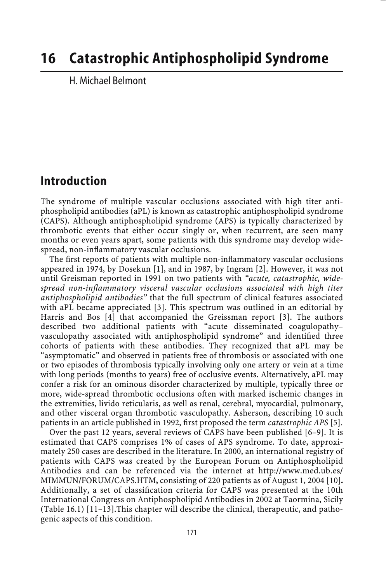# **16 Catastrophic Antiphospholipid Syndrome**

H. Michael Belmont

## **Introduction**

The syndrome of multiple vascular occlusions associated with high titer antiphospholipid antibodies (aPL) is known as catastrophic antiphospholipid syndrome (CAPS). Although antiphospholipid syndrome (APS) is typically characterized by thrombotic events that either occur singly or, when recurrent, are seen many months or even years apart, some patients with this syndrome may develop widespread, non-inflammatory vascular occlusions.

The first reports of patients with multiple non-inflammatory vascular occlusions appeared in 1974, by Dosekun [1], and in 1987, by Ingram [2]. However, it was not until Greisman reported in 1991 on two patients with *"acute, catastrophic, widespread non-inflammatory visceral vascular occlusions associated with high titer antiphospholipid antibodies"* that the full spectrum of clinical features associated with aPL became appreciated [3]. This spectrum was outlined in an editorial by Harris and Bos [4] that accompanied the Greissman report [3]. The authors described two additional patients with "acute disseminated coagulopathy– vasculopathy associated with antiphospholipid syndrome" and identified three cohorts of patients with these antibodies. They recognized that aPL may be "asymptomatic" and observed in patients free of thrombosis or associated with one or two episodes of thrombosis typically involving only one artery or vein at a time with long periods (months to years) free of occlusive events. Alternatively, aPL may confer a risk for an ominous disorder characterized by multiple, typically three or more, wide-spread thrombotic occlusions often with marked ischemic changes in the extremities, livido reticularis, as well as renal, cerebral, myocardial, pulmonary, and other visceral organ thrombotic vasculopathy. Asherson, describing 10 such patients in an article published in 1992, first proposed the term *catastrophic APS* [5].

Over the past 12 years, several reviews of CAPS have been published [6–9]. It is estimated that CAPS comprises 1% of cases of APS syndrome. To date, approximately 250 cases are described in the literature. In 2000, an international registry of patients with CAPS was created by the European Forum on Antiphospholipid Antibodies and can be referenced via the internet at http://www.med.ub.es/ MIMMUN/FORUM/CAPS.HTM**,** consisting of 220 patients as of August 1, 2004 [10]**.** Additionally, a set of classification criteria for CAPS was presented at the 10th International Congress on Antiphospholipid Antibodies in 2002 at Taormina, Sicily (Table 16.1) [11–13].This chapter will describe the clinical, therapeutic, and pathogenic aspects of this condition.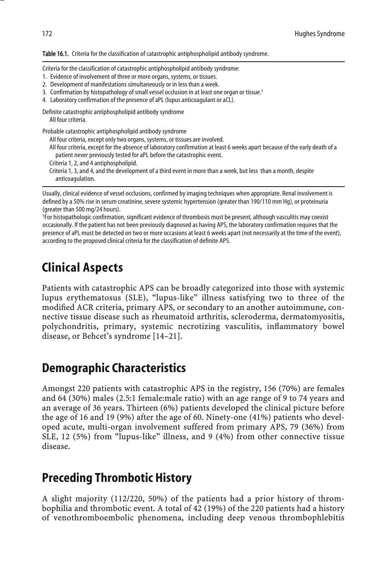Table 16.1. Criteria for the classification of catastrophic antiphospholipid antibody syndrome.

Criteria for the classification of catastrophic antiphospholipid antibody syndrome:

- 1. Evidence of involvement of three or more organs, systems, or tissues.
- 2. Development of manifestations simultaneously or in less than a week.
- 3. Confirmation by histopathology of small vessel occlusion in at least one organ or tissue.<sup>†</sup>
- 4. Laboratory confirmation of the presence of aPL (lupus anticoagulant or aCL).

Definite catastrophic antiphospholipid antibody syndrome All four criteria.

Probable catastrophic antiphospholipid antibody syndrome

- All four criteria, except only two organs, systems, or tissues are involved.
- All four criteria, except for the absence of laboratory confirmation at least 6 weeks apart because of the early death of a patient never previously tested for aPL before the catastrophic event.
- Criteria 1, 2, and 4 antiphospholipid.
- Criteria 1, 3, and 4, and the development of a third event in more than a week, but less than a month, despite anticoagulation.

Usually, clinical evidence of vessel occlusions, confirmed by imaging techniques when appropriate. Renal involvement is defined by a 50% rise in serum creatinine, severe systemic hypertension (greater than 190/110 mm Hg), or proteinuria (greater than 500 mg/24 hours).

† For histopathologic confirmation, significant evidence of thrombosis must be present, although vasculitis may coexist occasionally. If the patient has not been previously diagnosed as having APS, the laboratory confirmation requires that the presence of aPL must be detected on two or more occasions at least 6 weeks apart (not necessarily at the time of the event), according to the proposed clinical criteria for the classification of definite APS.

## **Clinical Aspects**

Patients with catastrophic APS can be broadly categorized into those with systemic lupus erythematosus (SLE), "lupus-like" illness satisfying two to three of the modified ACR criteria, primary APS, or secondary to an another autoimmune, connective tissue disease such as rheumatoid arthritis, scleroderma, dermatomyositis, polychondritis, primary, systemic necrotizing vasculitis, inflammatory bowel disease, or Behcet's syndrome [14–21].

## **Demographic Characteristics**

Amongst 220 patients with catastrophic APS in the registry, 156 (70%) are females and 64 (30%) males (2.5:1 female:male ratio) with an age range of 9 to 74 years and an average of 36 years. Thirteen (6%) patients developed the clinical picture before the age of 16 and 19 (9%) after the age of 60. Ninety-one (41%) patients who developed acute, multi-organ involvement suffered from primary APS, 79 (36%) from SLE, 12 (5%) from "lupus-like" illness, and 9 (4%) from other connective tissue disease.

## **Preceding Thrombotic History**

A slight majority (112/220, 50%) of the patients had a prior history of thrombophilia and thrombotic event. A total of 42 (19%) of the 220 patients had a history of venothromboembolic phenomena, including deep venous thrombophlebitis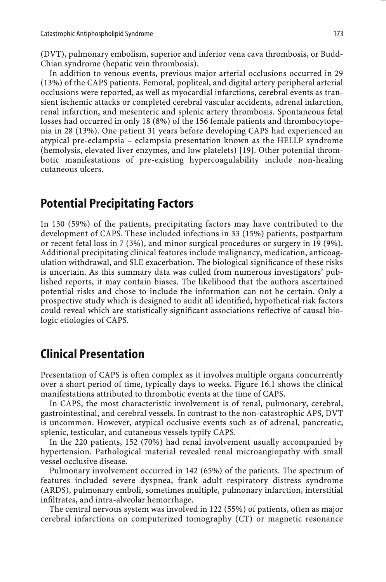(DVT), pulmonary embolism, superior and inferior vena cava thrombosis, or Budd-Chian syndrome (hepatic vein thrombosis).

In addition to venous events, previous major arterial occlusions occurred in 29 (13%) of the CAPS patients. Femoral, popliteal, and digital artery peripheral arterial occlusions were reported, as well as myocardial infarctions, cerebral events as transient ischemic attacks or completed cerebral vascular accidents, adrenal infarction, renal infarction, and mesenteric and splenic artery thrombosis. Spontaneous fetal losses had occurred in only 18 (8%) of the 156 female patients and thrombocytopenia in 28 (13%). One patient 31 years before developing CAPS had experienced an atypical pre-eclampsia – eclampsia presentation known as the HELLP syndrome (hemolysis, elevated liver enzymes, and low platelets) [19]. Other potential thrombotic manifestations of pre-existing hypercoagulability include non-healing cutaneous ulcers.

#### **Potential Precipitating Factors**

In 130 (59%) of the patients, precipitating factors may have contributed to the development of CAPS. These included infections in 33 (15%) patients, postpartum or recent fetal loss in 7 (3%), and minor surgical procedures or surgery in 19 (9%). Additional precipitating clinical features include malignancy, medication, anticoagulation withdrawal, and SLE exacerbation. The biological significance of these risks is uncertain. As this summary data was culled from numerous investigators' published reports, it may contain biases. The likelihood that the authors ascertained potential risks and chose to include the information can not be certain. Only a prospective study which is designed to audit all identified, hypothetical risk factors could reveal which are statistically significant associations reflective of causal biologic etiologies of CAPS.

#### **Clinical Presentation**

Presentation of CAPS is often complex as it involves multiple organs concurrently over a short period of time, typically days to weeks. Figure 16.1 shows the clinical manifestations attributed to thrombotic events at the time of CAPS.

In CAPS, the most characteristic involvement is of renal, pulmonary, cerebral, gastrointestinal, and cerebral vessels. In contrast to the non-catastrophic APS, DVT is uncommon. However, atypical occlusive events such as of adrenal, pancreatic, splenic, testicular, and cutaneous vessels typify CAPS.

In the 220 patients, 152 (70%) had renal involvement usually accompanied by hypertension. Pathological material revealed renal microangiopathy with small vessel occlusive disease.

Pulmonary involvement occurred in 142 (65%) of the patients. The spectrum of features included severe dyspnea, frank adult respiratory distress syndrome (ARDS), pulmonary emboli, sometimes multiple, pulmonary infarction, interstitial infiltrates, and intra-alveolar hemorrhage.

The central nervous system was involved in 122 (55%) of patients, often as major cerebral infarctions on computerized tomography (CT) or magnetic resonance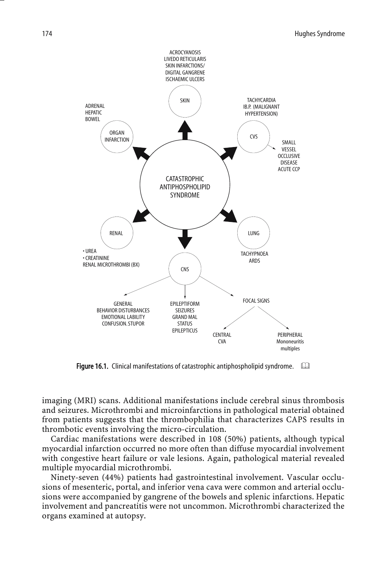

Figure 16.1. Clinical manifestations of catastrophic antiphospholipid syndrome.  $\Box$ 

imaging (MRI) scans. Additional manifestations include cerebral sinus thrombosis and seizures. Microthrombi and microinfarctions in pathological material obtained from patients suggests that the thrombophilia that characterizes CAPS results in thrombotic events involving the micro-circulation.

Cardiac manifestations were described in 108 (50%) patients, although typical myocardial infarction occurred no more often than diffuse myocardial involvement with congestive heart failure or vale lesions. Again, pathological material revealed multiple myocardial microthrombi.

Ninety-seven (44%) patients had gastrointestinal involvement. Vascular occlusions of mesenteric, portal, and inferior vena cava were common and arterial occlusions were accompanied by gangrene of the bowels and splenic infarctions. Hepatic involvement and pancreatitis were not uncommon. Microthrombi characterized the organs examined at autopsy.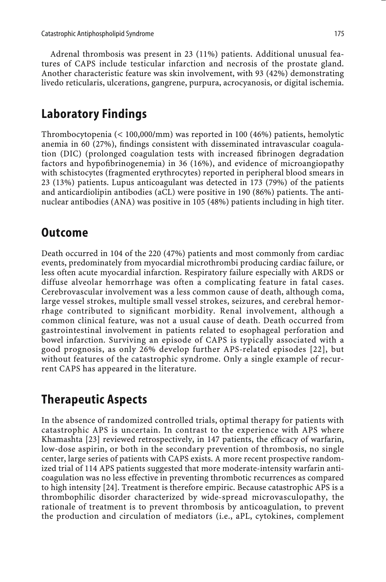Adrenal thrombosis was present in 23 (11%) patients. Additional unusual features of CAPS include testicular infarction and necrosis of the prostate gland. Another characteristic feature was skin involvement, with 93 (42%) demonstrating livedo reticularis, ulcerations, gangrene, purpura, acrocyanosis, or digital ischemia.

#### **Laboratory Findings**

Thrombocytopenia (< 100,000/mm) was reported in 100 (46%) patients, hemolytic anemia in 60 (27%), findings consistent with disseminated intravascular coagulation (DIC) (prolonged coagulation tests with increased fibrinogen degradation factors and hypofibrinogenemia) in 36 (16%), and evidence of microangiopathy with schistocytes (fragmented erythrocytes) reported in peripheral blood smears in 23 (13%) patients. Lupus anticoagulant was detected in 173 (79%) of the patients and anticardiolipin antibodies (aCL) were positive in 190 (86%) patients. The antinuclear antibodies (ANA) was positive in 105 (48%) patients including in high titer.

#### **Outcome**

Death occurred in 104 of the 220 (47%) patients and most commonly from cardiac events, predominately from myocardial microthrombi producing cardiac failure, or less often acute myocardial infarction. Respiratory failure especially with ARDS or diffuse alveolar hemorrhage was often a complicating feature in fatal cases. Cerebrovascular involvement was a less common cause of death, although coma, large vessel strokes, multiple small vessel strokes, seizures, and cerebral hemorrhage contributed to significant morbidity. Renal involvement, although a common clinical feature, was not a usual cause of death. Death occurred from gastrointestinal involvement in patients related to esophageal perforation and bowel infarction. Surviving an episode of CAPS is typically associated with a good prognosis, as only 26% develop further APS-related episodes [22], but without features of the catastrophic syndrome. Only a single example of recurrent CAPS has appeared in the literature.

## **Therapeutic Aspects**

In the absence of randomized controlled trials, optimal therapy for patients with catastrophic APS is uncertain. In contrast to the experience with APS where Khamashta [23] reviewed retrospectively, in 147 patients, the efficacy of warfarin, low-dose aspirin, or both in the secondary prevention of thrombosis, no single center, large series of patients with CAPS exists. A more recent prospective randomized trial of 114 APS patients suggested that more moderate-intensity warfarin anticoagulation was no less effective in preventing thrombotic recurrences as compared to high intensity [24]. Treatment is therefore empiric. Because catastrophic APS is a thrombophilic disorder characterized by wide-spread microvasculopathy, the rationale of treatment is to prevent thrombosis by anticoagulation, to prevent the production and circulation of mediators (i.e., aPL, cytokines, complement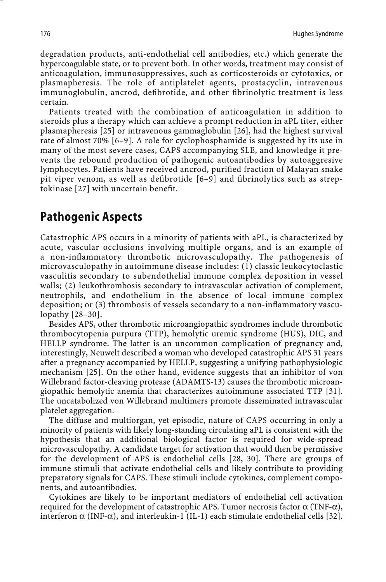degradation products, anti-endothelial cell antibodies, etc.) which generate the hypercoagulable state, or to prevent both. In other words, treatment may consist of anticoagulation, immunosuppressives, such as corticosteroids or cytotoxics, or plasmapheresis. The role of antiplatelet agents, prostacyclin, intravenous immunoglobulin, ancrod, defibrotide, and other fibrinolytic treatment is less certain.

Patients treated with the combination of anticoagulation in addition to steroids plus a therapy which can achieve a prompt reduction in aPL titer, either plasmapheresis [25] or intravenous gammaglobulin [26], had the highest survival rate of almost 70% [6–9]. A role for cyclophosphamide is suggested by its use in many of the most severe cases, CAPS accompanying SLE, and knowledge it prevents the rebound production of pathogenic autoantibodies by autoaggresive lymphocytes. Patients have received ancrod, purified fraction of Malayan snake pit viper venom, as well as defibrotide [6–9] and fibrinolytics such as streptokinase [27] with uncertain benefit.

#### **Pathogenic Aspects**

Catastrophic APS occurs in a minority of patients with aPL, is characterized by acute, vascular occlusions involving multiple organs, and is an example of a non-inflammatory thrombotic microvasculopathy. The pathogenesis of microvasculopathy in autoimmune disease includes: (1) classic leukocytoclastic vasculitis secondary to subendothelial immune complex deposition in vessel walls; (2) leukothrombosis secondary to intravascular activation of complement, neutrophils, and endothelium in the absence of local immune complex deposition; or (3) thrombosis of vessels secondary to a non-inflammatory vasculopathy [28–30].

Besides APS, other thrombotic microangiopathic syndromes include thrombotic thrombocytopenia purpura (TTP), hemolytic uremic syndrome (HUS), DIC, and HELLP syndrome. The latter is an uncommon complication of pregnancy and, interestingly, Neuwelt described a woman who developed catastrophic APS 31 years after a pregnancy accompanied by HELLP, suggesting a unifying pathophysiologic mechanism [25]. On the other hand, evidence suggests that an inhibitor of von Willebrand factor-cleaving protease (ADAMTS-13) causes the thrombotic microangiopathic hemolytic anemia that characterizes autoimmune associated TTP [31]. The uncatabolized von Willebrand multimers promote disseminated intravascular platelet aggregation.

The diffuse and multiorgan, yet episodic, nature of CAPS occurring in only a minority of patients with likely long-standing circulating aPL is consistent with the hypothesis that an additional biological factor is required for wide-spread microvasculopathy. A candidate target for activation that would then be permissive for the development of APS is endothelial cells [28, 30]. There are groups of immune stimuli that activate endothelial cells and likely contribute to providing preparatory signals for CAPS. These stimuli include cytokines, complement components, and autoantibodies.

Cytokines are likely to be important mediators of endothelial cell activation required for the development of catastrophic APS. Tumor necrosis factor  $α$  (TNF- $α$ ), interferon  $\alpha$  (INF- $\alpha$ ), and interleukin-1 (IL-1) each stimulate endothelial cells [32].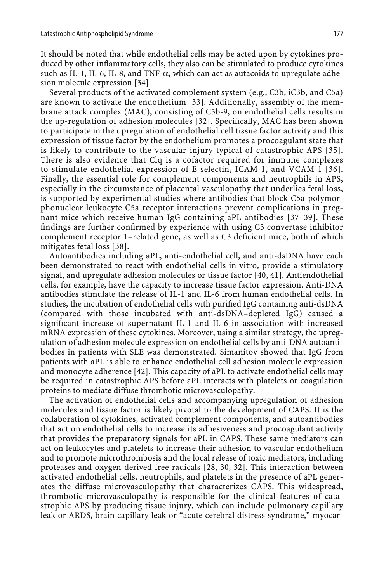It should be noted that while endothelial cells may be acted upon by cytokines produced by other inflammatory cells, they also can be stimulated to produce cytokines such as IL-1, IL-6, IL-8, and TNF- $\alpha$ , which can act as autacoids to upregulate adhesion molecule expression [34].

Several products of the activated complement system (e.g., C3b, iC3b, and C5a) are known to activate the endothelium [33]. Additionally, assembly of the membrane attack complex (MAC), consisting of C5b-9, on endothelial cells results in the up-regulation of adhesion molecules [32]. Specifically, MAC has been shown to participate in the upregulation of endothelial cell tissue factor activity and this expression of tissue factor by the endothelium promotes a procoagulant state that is likely to contribute to the vascular injury typical of catastrophic APS [35]. There is also evidence that Clq is a cofactor required for immune complexes to stimulate endothelial expression of E-selectin, ICAM-1, and VCAM-1 [36]. Finally, the essential role for complement components and neutrophils in APS, especially in the circumstance of placental vasculopathy that underlies fetal loss, is supported by experimental studies where antibodies that block C5a-polymorphonuclear leukocyte C5a receptor interactions prevent complications in pregnant mice which receive human IgG containing aPL antibodies [37–39]. These findings are further confirmed by experience with using C3 convertase inhibitor complement receptor 1–related gene, as well as C3 deficient mice, both of which mitigates fetal loss [38].

Autoantibodies including aPL, anti-endothelial cell, and anti-dsDNA have each been demonstrated to react with endothelial cells in vitro, provide a stimulatory signal, and upregulate adhesion molecules or tissue factor [40, 41]. Antiendothelial cells, for example, have the capacity to increase tissue factor expression. Anti-DNA antibodies stimulate the release of IL-1 and IL-6 from human endothelial cells. In studies, the incubation of endothelial cells with purified IgG containing anti-dsDNA (compared with those incubated with anti-dsDNA–depleted IgG) caused a significant increase of supernatant IL-1 and IL-6 in association with increased mRNA expression of these cytokines. Moreover, using a similar strategy, the upregulation of adhesion molecule expression on endothelial cells by anti-DNA autoantibodies in patients with SLE was demonstrated. Simanitov showed that IgG from patients with aPL is able to enhance endothelial cell adhesion molecule expression and monocyte adherence [42]. This capacity of aPL to activate endothelial cells may be required in catastrophic APS before aPL interacts with platelets or coagulation proteins to mediate diffuse thrombotic microvasculopathy.

The activation of endothelial cells and accompanying upregulation of adhesion molecules and tissue factor is likely pivotal to the development of CAPS. It is the collaboration of cytokines, activated complement components, and autoantibodies that act on endothelial cells to increase its adhesiveness and procoagulant activity that provides the preparatory signals for aPL in CAPS. These same mediators can act on leukocytes and platelets to increase their adhesion to vascular endothelium and to promote microthrombosis and the local release of toxic mediators, including proteases and oxygen-derived free radicals [28, 30, 32]. This interaction between activated endothelial cells, neutrophils, and platelets in the presence of aPL generates the diffuse microvasculopathy that characterizes CAPS. This widespread, thrombotic microvasculopathy is responsible for the clinical features of catastrophic APS by producing tissue injury, which can include pulmonary capillary leak or ARDS, brain capillary leak or "acute cerebral distress syndrome," myocar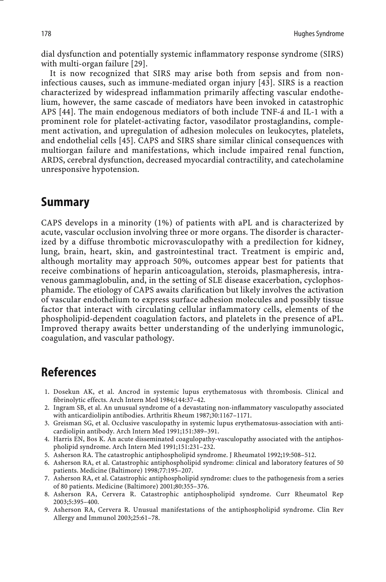dial dysfunction and potentially systemic inflammatory response syndrome (SIRS) with multi-organ failure [29].

It is now recognized that SIRS may arise both from sepsis and from noninfectious causes, such as immune-mediated organ injury [43]. SIRS is a reaction characterized by widespread inflammation primarily affecting vascular endothelium, however, the same cascade of mediators have been invoked in catastrophic APS [44]. The main endogenous mediators of both include TNF-á and IL-1 with a prominent role for platelet-activating factor, vasodilator prostaglandins, complement activation, and upregulation of adhesion molecules on leukocytes, platelets, and endothelial cells [45]. CAPS and SIRS share similar clinical consequences with multiorgan failure and manifestations, which include impaired renal function, ARDS, cerebral dysfunction, decreased myocardial contractility, and catecholamine unresponsive hypotension.

#### **Summary**

CAPS develops in a minority (1%) of patients with aPL and is characterized by acute, vascular occlusion involving three or more organs. The disorder is characterized by a diffuse thrombotic microvasculopathy with a predilection for kidney, lung, brain, heart, skin, and gastrointestinal tract. Treatment is empiric and, although mortality may approach 50%, outcomes appear best for patients that receive combinations of heparin anticoagulation, steroids, plasmapheresis, intravenous gammaglobulin, and, in the setting of SLE disease exacerbation, cyclophosphamide. The etiology of CAPS awaits clarification but likely involves the activation of vascular endothelium to express surface adhesion molecules and possibly tissue factor that interact with circulating cellular inflammatory cells, elements of the phospholipid-dependent coagulation factors, and platelets in the presence of aPL. Improved therapy awaits better understanding of the underlying immunologic, coagulation, and vascular pathology.

## **References**

- 1. Dosekun AK, et al. Ancrod in systemic lupus erythematosus with thrombosis. Clinical and fibrinolytic effects. Arch Intern Med 1984;144:37–42.
- 2. Ingram SB, et al. An unusual syndrome of a devastating non-inflammatory vasculopathy associated with anticardiolipin antibodies. Arthritis Rheum 1987;30:1167–1171.
- 3. Greisman SG, et al. Occlusive vasculopathy in systemic lupus erythematosus-association with anticardiolipin antibody. Arch Intern Med 1991;151:389–391.
- 4. Harris EN, Bos K. An acute disseminated coagulopathy-vasculopathy associated with the antiphospholipid syndrome. Arch Intern Med 1991;151:231–232.
- 5. Asherson RA. The catastrophic antiphospholipid syndrome. J Rheumatol 1992;19:508–512.
- 6. Asherson RA, et al. Catastrophic antiphospholipid syndrome: clinical and laboratory features of 50 patients. Medicine (Baltimore) 1998;77:195–207.
- 7. Asherson RA, et al. Catastrophic antiphospholipid syndrome: clues to the pathogenesis from a series of 80 patients. Medicine (Baltimore) 2001;80:355–376.
- 8. Asherson RA, Cervera R. Catastrophic antiphospholipid syndrome. Curr Rheumatol Rep 2003;5:395–400.
- 9. Asherson RA, Cervera R. Unusual manifestations of the antiphospholipid syndrome. Clin Rev Allergy and Immunol 2003;25:61–78.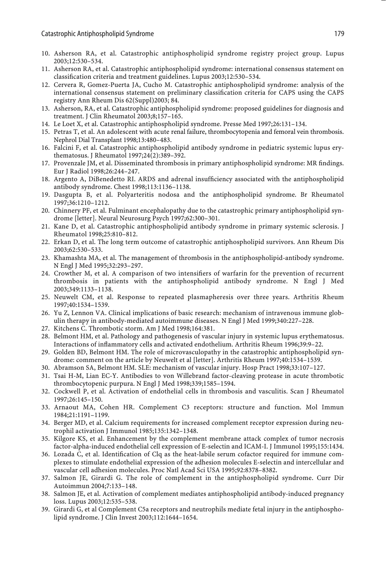- 10. Asherson RA, et al. Catastrophic antiphospholipid syndrome registry project group. Lupus 2003;12:530–534.
- 11. Asherson RA, et al. Catastrophic antiphospholipid syndrome: international consensus statement on classification criteria and treatment guidelines. Lupus 2003;12:530–534.
- 12. Cervera R, Gomez-Puerta JA, Cucho M. Catastrophic antiphospholipid syndrome: analysis of the international consensus statement on preliminary classification criteria for CAPS using the CAPS registry Ann Rheum Dis 62(Suppl)2003; 84.
- 13. Asherson, RA, et al. Catastrophic antiphospholipid syndrome: proposed guidelines for diagnosis and treatment. J Clin Rheumatol 2003;8;157–165.
- 14. Le Loet X, et al. Catastrophic antiphospholipid syndrome. Presse Med 1997;26:131–134.
- 15. Petras T, et al. An adolescent with acute renal failure, thrombocytopenia and femoral vein thrombosis. Nephrol Dial Transplant 1998;13:480–483.
- 16. Falcini F, et al. Catastrophic antiphospholipid antibody syndrome in pediatric systemic lupus erythematosus. J Rheumatol 1997;24(2):389–392.
- 17. Provenzale JM, et al. Disseminated thrombosis in primary antiphospholipid syndrome: MR findings. Eur J Radiol 1998;26:244–247.
- 18. Argento A, DiBenedetto RI. ARDS and adrenal insufficiency associated with the antiphospholipid antibody syndrome. Chest 1998;113:1136–1138.
- 19. Dasgupta B, et al. Polyarteritis nodosa and the antiphospholipid syndrome. Br Rheumatol 1997;36:1210–1212.
- 20. Chinnery PF, et al. Fulminant encephalopathy due to the catastrophic primary antiphospholipid syndrome [letter]. Neural Neurosurg Psych 1997;62:300–301.
- 21. Kane D, et al. Catastrophic antiphospholipid antibody syndrome in primary systemic sclerosis. J Rheumatol 1998;25:810–812.
- 22. Erkan D, et al. The long term outcome of catastrophic antiphospholipid survivors. Ann Rheum Dis 2003;62:530–533.
- 23. Khamashta MA, et al. The management of thrombosis in the antiphospholipid-antibody syndrome. N Engl J Med 1995;32:293–297.
- 24. Crowther M, et al. A comparison of two intensifiers of warfarin for the prevention of recurrent thrombosis in patients with the antiphospholipid antibody syndrome. N Engl J Med 2003;349:1133–1138.
- 25. Neuwelt CM, et al. Response to repeated plasmapheresis over three years. Arthritis Rheum 1997;40:1534–1539.
- 26. Yu Z, Lennon VA. Clinical implications of basic research: mechanism of intravenous immune globulin therapy in antibody-mediated autoimmune diseases. N Engl J Med 1999;340:227–228.
- 27. Kitchens C. Thrombotic storm. Am J Med 1998;164:381.
- 28. Belmont HM, et al. Pathology and pathogenesis of vascular injury in systemic lupus erythematosus. Interactions of inflammatory cells and activated endothelium. Arthritis Rheum 1996;39:9–22.
- 29. Golden BD, Belmont HM. The role of microvasculopathy in the catastrophic antiphospholipid syndrome: comment on the article by Neuwelt et al [letter]. Arthritis Rheum 1997;40:1534–1539.
- 30. Abramson SA, Belmont HM. SLE: mechanism of vascular injury. Hosp Pract 1998;33:107–127.
- 31. Tsai H-M, Lian EC-Y. Antibodies to von Willebrand factor-cleaving protease in acute thrombotic thrombocytopenic purpura. N Engl J Med 1998;339;1585–1594.
- 32. Cockwell P, et al. Activation of endothelial cells in thrombosis and vasculitis. Scan J Rheumatol 1997;26:145–150.
- 33. Arnaout MA, Cohen HR. Complement C3 receptors: structure and function. Mol Immun 1984;21:1191–1199.
- 34. Berger MD, et al. Calcium requirements for increased complement receptor expression during neutrophil activation J Immunol 1985;135:1342–1348.
- 35. Kilgore KS, et al. Enhancement by the complement membrane attack complex of tumor necrosis factor-alpha-induced endothelial cell expression of E-selectin and ICAM-I. J Immunol 1995;155:1434.
- 36. Lozada C, et al. Identification of Clq as the heat-labile serum cofactor required for immune complexes to stimulate endothelial expression of the adhesion molecules E-selectin and intercellular and vascular cell adhesion molecules. Proc Natl Acad Sci USA 1995;92:8378–8382.
- 37. Salmon JE, Girardi G. The role of complement in the antiphospholipid syndrome. Curr Dir Autoimmun 2004;7:133–148.
- 38. Salmon JE, et al. Activation of complement mediates antiphospholipid antibody-induced pregnancy loss. Lupus 2003;12:535–538.
- 39. Girardi G, et al Complement C5a receptors and neutrophils mediate fetal injury in the antiphospholipid syndrome. J Clin Invest 2003;112:1644–1654.